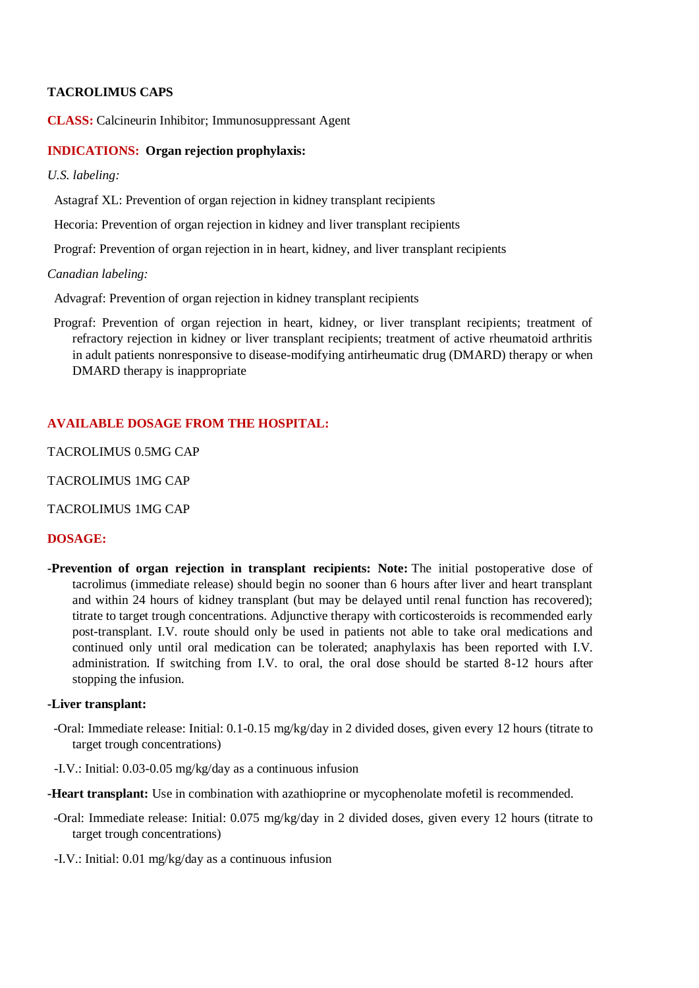## **TACROLIMUS CAPS**

**CLASS:** Calcineurin Inhibitor; Immunosuppressant Agent

#### **INDICATIONS: Organ rejection prophylaxis:**

*U.S. labeling:*

Astagraf XL: Prevention of organ rejection in kidney transplant recipients

Hecoria: Prevention of organ rejection in kidney and liver transplant recipients

Prograf: Prevention of organ rejection in in heart, kidney, and liver transplant recipients

#### *Canadian labeling:*

Advagraf: Prevention of organ rejection in kidney transplant recipients

 Prograf: Prevention of organ rejection in heart, kidney, or liver transplant recipients; treatment of refractory rejection in kidney or liver transplant recipients; treatment of active rheumatoid arthritis in adult patients nonresponsive to disease-modifying antirheumatic drug (DMARD) therapy or when DMARD therapy is inappropriate

#### **AVAILABLE DOSAGE FROM THE HOSPITAL:**

TACROLIMUS 0.5MG CAP

TACROLIMUS 1MG CAP

TACROLIMUS 1MG CAP

### **DOSAGE:**

**-Prevention of organ rejection in transplant recipients: Note:** The initial postoperative dose of tacrolimus (immediate release) should begin no sooner than 6 hours after liver and heart transplant and within 24 hours of kidney transplant (but may be delayed until renal function has recovered); titrate to target trough concentrations. Adjunctive therapy with corticosteroids is recommended early post-transplant. I.V. route should only be used in patients not able to take oral medications and continued only until oral medication can be tolerated; anaphylaxis has been reported with I.V. administration. If switching from I.V. to oral, the oral dose should be started 8-12 hours after stopping the infusion.

#### **-Liver transplant:**

- -Oral: Immediate release: Initial: 0.1-0.15 mg/kg/day in 2 divided doses, given every 12 hours (titrate to target trough concentrations)
- -I.V.: Initial: 0.03-0.05 mg/kg/day as a continuous infusion
- **-Heart transplant:** Use in combination with azathioprine or mycophenolate mofetil is recommended.
- -Oral: Immediate release: Initial: 0.075 mg/kg/day in 2 divided doses, given every 12 hours (titrate to target trough concentrations)
- -I.V.: Initial: 0.01 mg/kg/day as a continuous infusion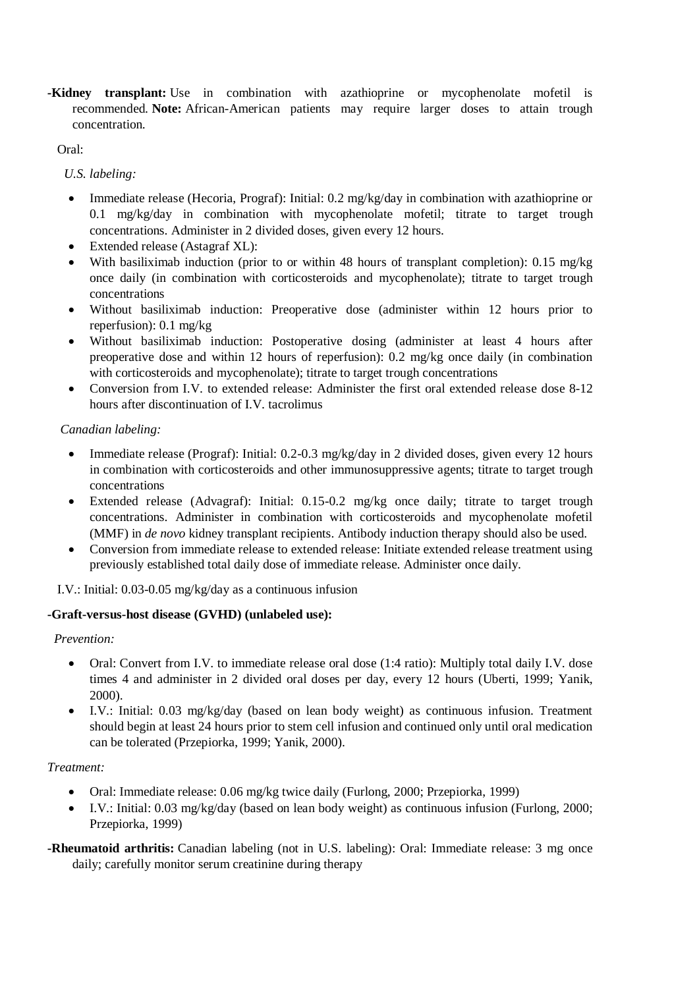**-Kidney transplant:** Use in combination with azathioprine or mycophenolate mofetil is recommended. **Note:** African-American patients may require larger doses to attain trough concentration.

Oral:

*U.S. labeling:*

- Immediate release (Hecoria, Prograf): Initial: 0.2 mg/kg/day in combination with azathioprine or 0.1 mg/kg/day in combination with mycophenolate mofetil; titrate to target trough concentrations. Administer in 2 divided doses, given every 12 hours.
- Extended release (Astagraf XL):
- With basiliximab induction (prior to or within 48 hours of transplant completion): 0.15 mg/kg once daily (in combination with corticosteroids and mycophenolate); titrate to target trough concentrations
- Without basiliximab induction: Preoperative dose (administer within 12 hours prior to reperfusion): 0.1 mg/kg
- Without basiliximab induction: Postoperative dosing (administer at least 4 hours after preoperative dose and within 12 hours of reperfusion): 0.2 mg/kg once daily (in combination with corticosteroids and mycophenolate); titrate to target trough concentrations
- Conversion from I.V. to extended release: Administer the first oral extended release dose 8-12 hours after discontinuation of I.V. tacrolimus

## *Canadian labeling:*

- Immediate release (Prograf): Initial:  $0.2$ - $0.3$  mg/kg/day in 2 divided doses, given every 12 hours in combination with corticosteroids and other immunosuppressive agents; titrate to target trough concentrations
- Extended release (Advagraf): Initial: 0.15-0.2 mg/kg once daily; titrate to target trough concentrations. Administer in combination with corticosteroids and mycophenolate mofetil (MMF) in *de novo* kidney transplant recipients. Antibody induction therapy should also be used.
- Conversion from immediate release to extended release: Initiate extended release treatment using previously established total daily dose of immediate release. Administer once daily.

I.V.: Initial: 0.03-0.05 mg/kg/day as a continuous infusion

## **-Graft-versus-host disease (GVHD) (unlabeled use):**

## *Prevention:*

- Oral: Convert from I.V. to immediate release oral dose (1:4 ratio): Multiply total daily I.V. dose times 4 and administer in 2 divided oral doses per day, every 12 hours (Uberti, 1999; Yanik, 2000).
- I.V.: Initial: 0.03 mg/kg/day (based on lean body weight) as continuous infusion. Treatment should begin at least 24 hours prior to stem cell infusion and continued only until oral medication can be tolerated (Przepiorka, 1999; Yanik, 2000).

# *Treatment:*

- Oral: Immediate release: 0.06 mg/kg twice daily (Furlong, 2000; Przepiorka, 1999)
- I.V.: Initial: 0.03 mg/kg/day (based on lean body weight) as continuous infusion (Furlong, 2000; Przepiorka, 1999)
- **-Rheumatoid arthritis:** Canadian labeling (not in U.S. labeling): Oral: Immediate release: 3 mg once daily; carefully monitor serum creatinine during therapy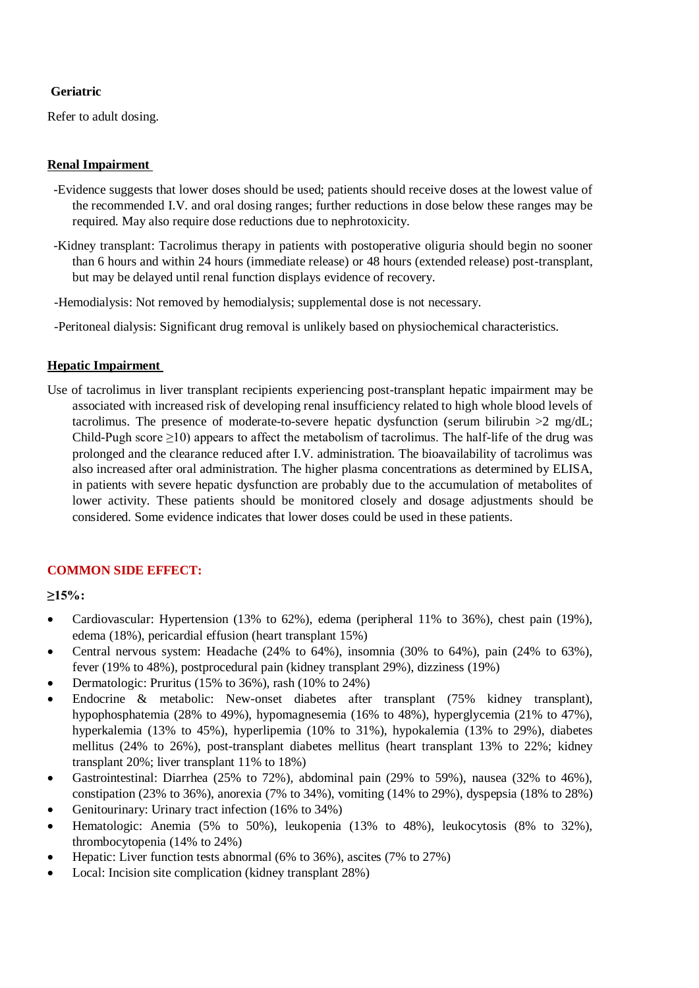## **Geriatric**

Refer to adult dosing.

### **Renal Impairment**

- -Evidence suggests that lower doses should be used; patients should receive doses at the lowest value of the recommended I.V. and oral dosing ranges; further reductions in dose below these ranges may be required. May also require dose reductions due to nephrotoxicity.
- -Kidney transplant: Tacrolimus therapy in patients with postoperative oliguria should begin no sooner than 6 hours and within 24 hours (immediate release) or 48 hours (extended release) post-transplant, but may be delayed until renal function displays evidence of recovery.
- -Hemodialysis: Not removed by hemodialysis; supplemental dose is not necessary.
- -Peritoneal dialysis: Significant drug removal is unlikely based on physiochemical characteristics.

#### **Hepatic Impairment**

Use of tacrolimus in liver transplant recipients experiencing post-transplant hepatic impairment may be associated with increased risk of developing renal insufficiency related to high whole blood levels of tacrolimus. The presence of moderate-to-severe hepatic dysfunction (serum bilirubin  $>2$  mg/dL; Child-Pugh score  $\geq$ 10) appears to affect the metabolism of tacrolimus. The half-life of the drug was prolonged and the clearance reduced after I.V. administration. The bioavailability of tacrolimus was also increased after oral administration. The higher plasma concentrations as determined by ELISA, in patients with severe hepatic dysfunction are probably due to the accumulation of metabolites of lower activity. These patients should be monitored closely and dosage adjustments should be considered. Some evidence indicates that lower doses could be used in these patients.

## **COMMON SIDE EFFECT:**

**≥15%:**

- Cardiovascular: Hypertension (13% to 62%), edema (peripheral 11% to 36%), chest pain (19%), edema (18%), pericardial effusion (heart transplant 15%)
- Central nervous system: Headache  $(24\%$  to 64%), insomnia  $(30\%$  to 64%), pain  $(24\%$  to 63%), fever (19% to 48%), postprocedural pain (kidney transplant 29%), dizziness (19%)
- Dermatologic: Pruritus  $(15\%$  to 36%), rash  $(10\%$  to 24%)
- Endocrine & metabolic: New-onset diabetes after transplant (75% kidney transplant), hypophosphatemia (28% to 49%), hypomagnesemia (16% to 48%), hyperglycemia (21% to 47%), hyperkalemia (13% to 45%), hyperlipemia (10% to 31%), hypokalemia (13% to 29%), diabetes mellitus (24% to 26%), post-transplant diabetes mellitus (heart transplant 13% to 22%; kidney transplant 20%; liver transplant 11% to 18%)
- Gastrointestinal: Diarrhea  $(25\%$  to  $72\%)$ , abdominal pain  $(29\%$  to  $59\%)$ , nausea  $(32\%$  to  $46\%)$ , constipation (23% to 36%), anorexia (7% to 34%), vomiting (14% to 29%), dyspepsia (18% to 28%)
- Genitourinary: Urinary tract infection (16% to 34%)
- Hematologic: Anemia  $(5\%$  to 50%), leukopenia  $(13\%$  to 48%), leukocytosis  $(8\%$  to 32%), thrombocytopenia (14% to 24%)
- Hepatic: Liver function tests abnormal  $(6\%$  to  $36\%$ ), ascites  $(7\%$  to  $27\%)$
- Local: Incision site complication (kidney transplant 28%)